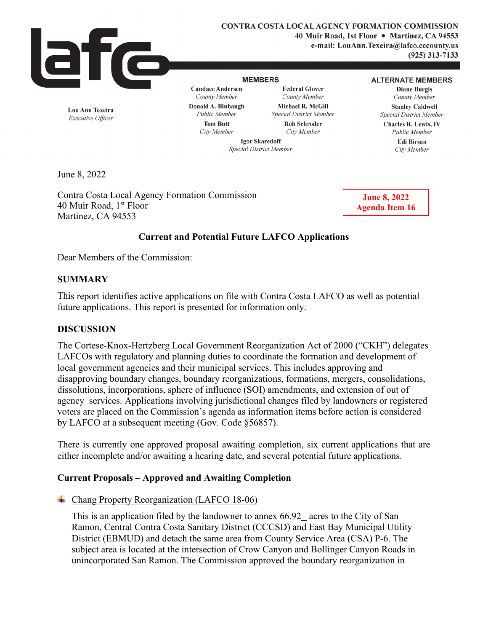

**CONTRA COSTA LOCAL AGENCY FORMATION COMMISSION 40 Muir Road, 1st Floor** • **Martinez, CA 94553 e-mail: LouAnn.Texeira@lafco.cccounty.us (925) 313-7133** 

#### **MEMBERS**

**Candace Andersen**  *County Member* 

**Federal Glover**  *County Member*  **Michael R. McGill**  *Special District Member*  **Rob Schroder** 

#### **ALTERNATE MEMBERS**

**Diane Burgis**  *County Member*  **Stanley Caldwell**  *Special District Member* 

**Tom Butt**  *City Member* 

**Donald A. Blubaugh** 

*City Member* 

*Public Member*  **Edi Birsan**  *City Member* 

**Charles R. Lewis,** IV

**Lou Ann Texeira**  *Executive Officer* 

*Public Member* 

**Igor Skaredoff**  *Special District Member* 

June 8, 2022

Contra Costa Local Agency Formation Commission 40 Muir Road, 1<sup>st</sup> Floor Martinez, CA 94553

**June 8, 2022 Agenda Item 16**

# **Current and Potential Future LAFCO Applications**

Dear Members of the Commission:

## **SUMMARY**

This report identifies active applications on file with Contra Costa LAFCO as well as potential future applications. This report is presented for information only.

#### **DISCUSSION**

The Cortese-Knox-Hertzberg Local Government Reorganization Act of 2000 ("CKH") delegates LAFCOs with regulatory and planning duties to coordinate the formation and development of local government agencies and their municipal services. This includes approving and disapproving boundary changes, boundary reorganizations, formations, mergers, consolidations, dissolutions, incorporations, sphere of influence (SOI) amendments, and extension of out of agency services. Applications involving jurisdictional changes filed by landowners or registered voters are placed on the Commission's agenda as information items before action is considered by LAFCO at a subsequent meeting (Gov. Code §56857).

There is currently one approved proposal awaiting completion, six current applications that are either incomplete and/or awaiting a hearing date, and several potential future applications.

# **Current Proposals – Approved and Awaiting Completion**

Chang Property Reorganization (LAFCO 18-06)

This is an application filed by the landowner to annex  $66.92\pm$  acres to the City of San Ramon, Central Contra Costa Sanitary District (CCCSD) and East Bay Municipal Utility District (EBMUD) and detach the same area from County Service Area (CSA) P-6. The subject area is located at the intersection of Crow Canyon and Bollinger Canyon Roads in unincorporated San Ramon. The Commission approved the boundary reorganization in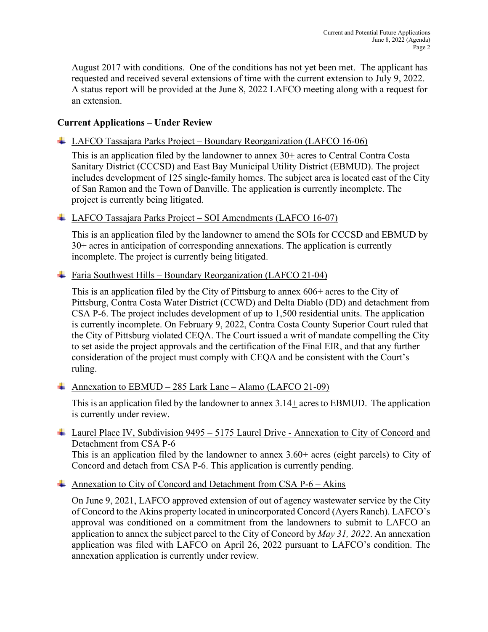August 2017 with conditions. One of the conditions has not yet been met. The applicant has requested and received several extensions of time with the current extension to July 9, 2022. A status report will be provided at the June 8, 2022 LAFCO meeting along with a request for an extension.

# **Current Applications – Under Review**

LAFCO Tassajara Parks Project – Boundary Reorganization (LAFCO 16-06)

This is an application filed by the landowner to annex 30+ acres to Central Contra Costa Sanitary District (CCCSD) and East Bay Municipal Utility District (EBMUD). The project includes development of 125 single-family homes. The subject area is located east of the City of San Ramon and the Town of Danville. The application is currently incomplete. The project is currently being litigated.

# $\overline{\phantom{a} \pm}$  LAFCO Tassajara Parks Project – SOI Amendments (LAFCO 16-07)

This is an application filed by the landowner to amend the SOIs for CCCSD and EBMUD by  $30<sup>+</sup>$  acres in anticipation of corresponding annexations. The application is currently incomplete. The project is currently being litigated.

## Faria Southwest Hills – Boundary Reorganization (LAFCO 21-04)

This is an application filed by the City of Pittsburg to annex 606+ acres to the City of Pittsburg, Contra Costa Water District (CCWD) and Delta Diablo (DD) and detachment from CSA P-6. The project includes development of up to 1,500 residential units. The application is currently incomplete. On February 9, 2022, Contra Costa County Superior Court ruled that the City of Pittsburg violated CEQA. The Court issued a writ of mandate compelling the City to set aside the project approvals and the certification of the Final EIR, and that any further consideration of the project must comply with CEQA and be consistent with the Court's ruling.

Annexation to EBMUD – 285 Lark Lane – Alamo (LAFCO 21-09)

This is an application filed by the landowner to annex 3.14+ acres to EBMUD. The application is currently under review.

 $\pm$  Laurel Place IV, Subdivision 9495 – 5175 Laurel Drive - Annexation to City of Concord and Detachment from CSA P-6

This is an application filed by the landowner to annex 3.60+ acres (eight parcels) to City of Concord and detach from CSA P-6. This application is currently pending.

Annexation to City of Concord and Detachment from CSA  $P-6 - Akins$ 

On June 9, 2021, LAFCO approved extension of out of agency wastewater service by the City of Concord to the Akins property located in unincorporated Concord (Ayers Ranch). LAFCO's approval was conditioned on a commitment from the landowners to submit to LAFCO an application to annex the subject parcel to the City of Concord by *May 31, 2022*. An annexation application was filed with LAFCO on April 26, 2022 pursuant to LAFCO's condition. The annexation application is currently under review.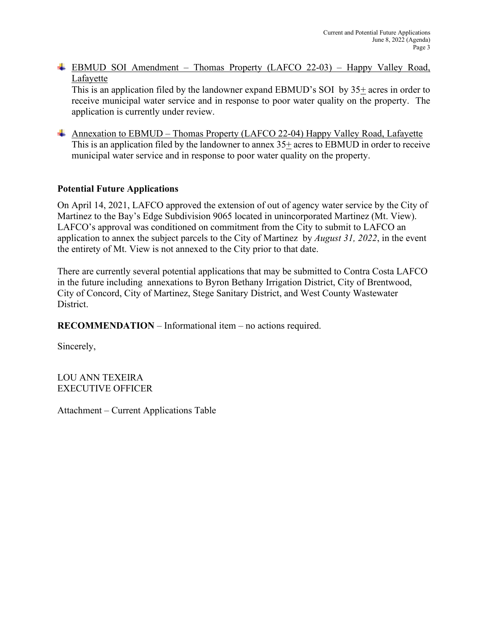EBMUD SOI Amendment – Thomas Property (LAFCO 22-03) – Happy Valley Road, Lafayette

This is an application filed by the landowner expand EBMUD's SOI by 35+ acres in order to receive municipal water service and in response to poor water quality on the property. The application is currently under review.

Annexation to EBMUD – Thomas Property (LAFCO 22-04) Happy Valley Road, Lafayette This is an application filed by the landowner to annex  $35+$  acres to EBMUD in order to receive municipal water service and in response to poor water quality on the property.

# **Potential Future Applications**

On April 14, 2021, LAFCO approved the extension of out of agency water service by the City of Martinez to the Bay's Edge Subdivision 9065 located in unincorporated Martinez (Mt. View). LAFCO's approval was conditioned on commitment from the City to submit to LAFCO an application to annex the subject parcels to the City of Martinez by *August 31, 2022*, in the event the entirety of Mt. View is not annexed to the City prior to that date.

There are currently several potential applications that may be submitted to Contra Costa LAFCO in the future including annexations to Byron Bethany Irrigation District, City of Brentwood, City of Concord, City of Martinez, Stege Sanitary District, and West County Wastewater District.

**RECOMMENDATION** – Informational item – no actions required.

Sincerely,

LOU ANN TEXEIRA EXECUTIVE OFFICER

Attachment – Current Applications Table